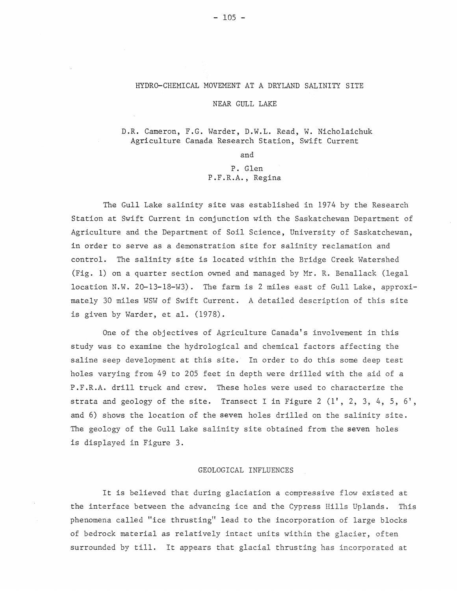#### HYDRD-CHEMICAL MOVEMENT AT A DRYLAND SALINITY SITE

## NEAR GULL LAKE

# D.R. Cameron, F.G. Warder, D.W.L. Read, W. Nicholaichuk Agriculture Canada Research Station, Swift Current

and

# P. Glen P.F.R.A., Regina

The Gull Lake salinity site was established in 1974 by the Research Station at Swift Current in conjunction with the Saskatchewan Department of Agriculture and the Department of Soil Science, University of Saskatchewan, in order to serve as a demonstration site for salinity reclamation and control. The salinity site is located within the Bridge Creek Watershed (Fig. 1) on a quarter section owned and managed by Mr. R. Benallack (legal location N.W. 20-13-18-W3). The farm is 2 miles east of Gull Lake, approximately 30 miles WSW of Swift Current. A detailed description of this site is given by Warder, et al. (1978).

One of the objectives of Agriculture Canada's involvement in this study was to examine the hydrological and chemical factors affecting the saline seep development at this site. In order to do this some deep test holes varying from 49 to 205 feet in depth were drilled with the aid of a P.F.R.A. drill truck and crew. These holes were used to characterize the strata and geology of the site. Transect I in Figure 2  $(1', 2, 3, 4, 5, 6',$ and 6) shows the location of the seven holes drilled on the salinity site. The geology of the Gull Lake salinity site obtained from the seven holes is displayed in Figure 3.

## GEOLOGICAL INFLUENCES

It is believed that during glaciation a compressive flow existed at the interface between the advancing ice and the Cypress Hills Uplands. This phenomena called "ice thrusting" lead to the incorporation of large blocks of bedrock material as relatively intact units within the glacier, often surrounded by till. It appears that glacial thrusting has incorporated at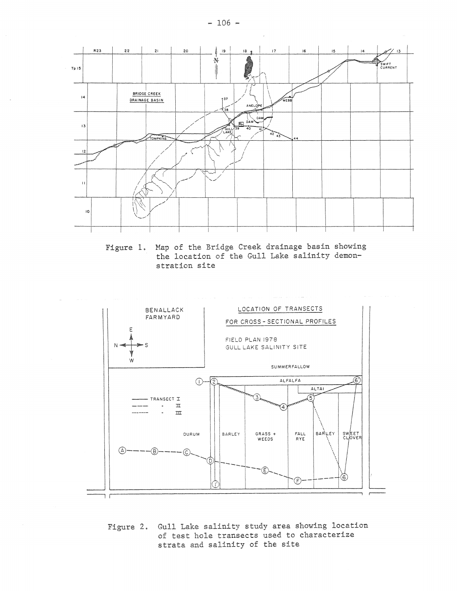

Figure **1.** Map of the Bridge Creek drainage basin showing the location of the Gull Lake salinity demonstration site



Figure 2. Gull Lake salinity study area showing location of test hole transects used to characterize strata and salinity of the site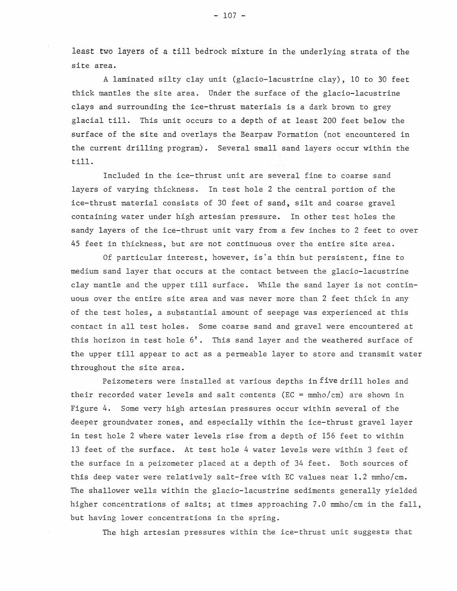least two layers of a till bedrock mixture in the underlying strata of the site area.

A laminated silty clay unit (glacio-lacustrine clay), 10 to 30 feet thick mantles the site area. Under the surface of the glacio-lacustrine clays and surrounding the ice-thrust materials is a dark brown to grey glacial till. This unit occurs to a depth of at least 200 feet below the surface of the site and overlays the Bearpaw Formation (not encountered in the current drilling program). Several small sand layers occur within the till.

Included in the ice-thrust unit are several fine to coarse sand layers of varying thickness. In test hole 2 the central portion of the ice-thrust material consists of 30 feet of sand, silt and coarse gravel containing water under high artesian pressure. In other test holes the sandy layers of the ice-thrust unit vary from a few inches to 2 feet to over 45 feet in thickness, but are not continuous over the entire site area.

Of particular interest, however, is'a thin but persistent, fine to medium sand layer that occurs at the contact between the glacio-lacustrine clay mantle and the upper till surface. While the sand layer is not continuous over the entire site area and was never more than 2 feet thick in any of the test holes, a substantial amount of seepage was experienced at this contact in all test holes. Some coarse sand and gravel were encountered at this horizon in test hole 6'. This sand layer and the weathered surface of the upper till appear to act as a permeable layer to store and transmit water throughout the site area.

Peizometers were installed at various depths in five drill holes and their recorded water levels and salt contents ( $EC = mmho/cm$ ) are shown in Figure 4. Some very high artesian pressures occur within several of the deeper groundwater zones, and especially within the ice-thrust gravel layer in test hole 2 where water levels rise from a depth of 156 feet to within 13 feet of the surface. At test hole 4 water levels were within 3 feet of the surface in a peizometer placed at a depth of 34 feet. Both sources of this deep water were relatively salt-free with EC values near 1.2 mmho/cm. The shallower wells within the glacio-lacustrine sediments generally yielded higher concentrations of salts; at times approaching 7.0 mmho/cm in the fall, but having lower concentrations in the spring.

The high artesian pressures within the ice-thrust unit suggests that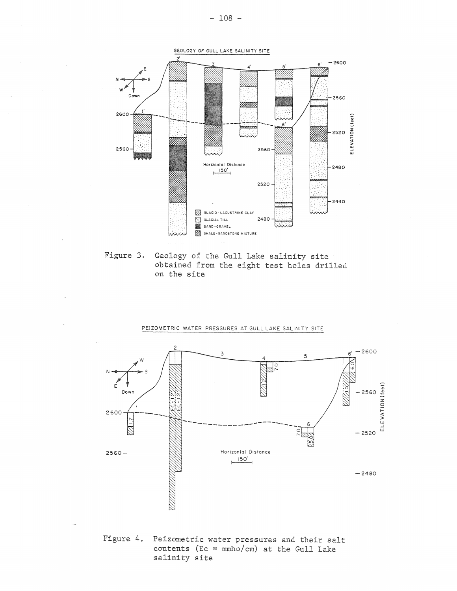

Figure 3. Geology of the Gull Lake salinity site obtained from the eight test holes drilled on the site

#### PEIZOMETRIC WATER PRESSURES AT GULL LAKE SALINITY SITE



Figure 4. Peizometric water pressures and their salt contents ( $Ec = mmho/cm$ ) at the Gull Lake salinity site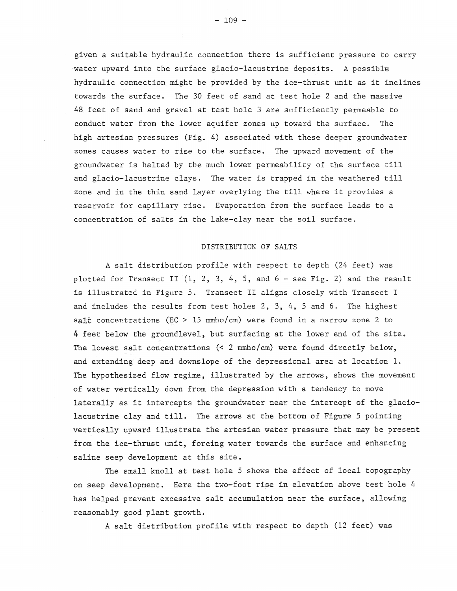given a suitable hydraulic connection there is sufficient pressure to carry water upward into the surface glacio-lacustrine deposits. A possible hydraulic connection might be provided by the ice-thrust unit as it inclines towards the surface. The 30 feet of sand at test hole 2 and the massive 48 feet of sand and gravel at test hole 3 are sufficiently permeable to conduct water from the lower aquifer zones up toward the surface. The high artesian pressures (Fig. 4) associated with these deeper groundwater zones causes water to rise to the surface. The upward movement of the groundwater is halted by the much lower permeability of the surface till and glacio-lacustrine clays. The water is trapped in the weathered till zone and in the thin sand layer overlying the till where it provides a reservoir for capillary rise. Evaporation from the surface leads to a concentration of salts in the lake-clay near the soil surface.

## DISTRIBUTION OF SALTS

A salt distribution profile with respect to depth (24 feet) was plotted for Transect II  $(1, 2, 3, 4, 5,$  and  $6 -$  see Fig. 2) and the result is illustrated in Figure 5. Transect II aligns closely with Transect I and includes the results from test holes 2, 3, 4, 5 and 6. The highest salt concentrations (EC > 15 mmho/cm) were found in a narrow zone 2 to 4 feet below the groundlevel, but surfacing at the lower end of the site. The lowest salt concentrations (< 2 mmho/cm) were found directly below, and extending deep and downslope of the depressional area at location 1. The hypothesized flow regime, illustrated by the arrows, shows the movement of water vertically down from the depression with a tendency to move laterally as it intercepts the groundwater near the intercept of the glaciolacustrine clay and till. The arrows at the bottom of Figure 5 pointing vertically upward illustrate the artesian water pressure that may be present from the ice-thrust unit, forcing water towards the surface and enhancing saline seep development at this site.

The small knoll at test hole 5 shows the effect of local topography on seep development. Here the two-foot rise in elevation above test hole 4 has helped prevent excessive salt accumulation near the surface, allowing reasonably good plant growth.

A salt distribution profile with respect to depth (12 feet) was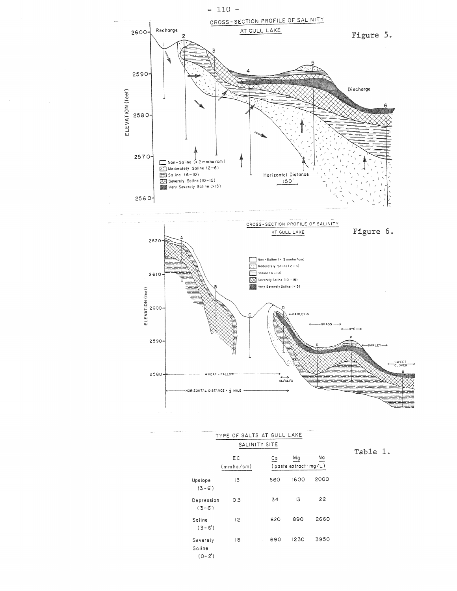

| <b>Business Ave. 1. 11</b> | CONTRACTOR CARD III<br>TYPE OF SALTS AT GULL LAKE<br>SALINITY SITE |                 |     |                            |      |
|----------------------------|--------------------------------------------------------------------|-----------------|-----|----------------------------|------|
|                            |                                                                    |                 |     |                            |      |
|                            |                                                                    | EС<br>(mmbo/cm) | Сa  | Mg<br>(paste extract-mg/L) | Na   |
|                            | Upslope<br>$(3 - 6')$                                              | 13              | 660 | 1600                       | 2000 |
|                            | Depression<br>$(3-6)$                                              | 0.3             | 34  | 13                         | 22   |
|                            | Saline<br>$(3 - 6')$                                               | 2               | 620 | 890                        | 2660 |
|                            | Severely<br>Saline<br>$(0 - 2')$                                   | 18              | 690 | 1230                       | 3950 |

Table 1.